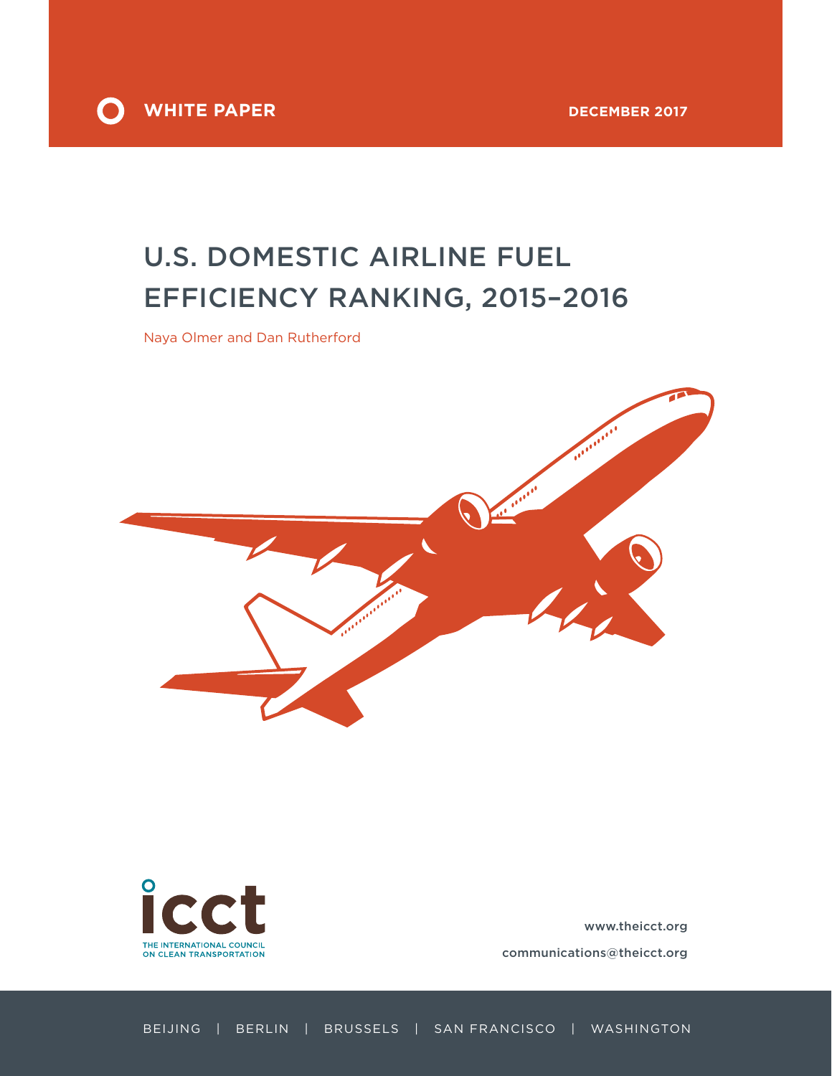



# U.S. DOMESTIC AIRLINE FUEL EFFICIENCY RANKING, 2015–2016

Naya Olmer and Dan Rutherford



[www.theicct.org](http://www.theicct.org)

[communications@theicct.org](mailto:communications%40theicct.org%20%20%20%20?subject=)

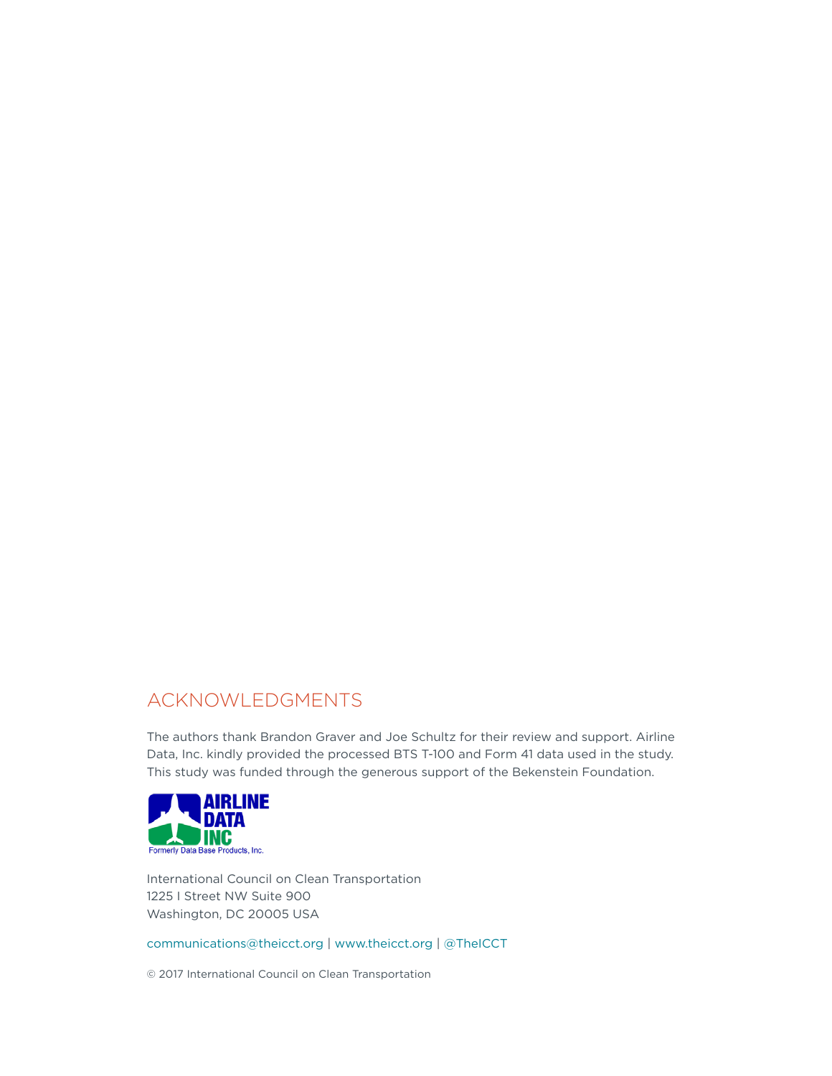# ACKNOWLEDGMENTS

The authors thank Brandon Graver and Joe Schultz for their review and support. Airline Data, Inc. kindly provided the processed BTS T-100 and Form 41 data used in the study. This study was funded through the generous support of the Bekenstein Foundation.



International Council on Clean Transportation 1225 I Street NW Suite 900 Washington, DC 20005 USA

[communications@theicct.org](mailto:communications%40theicct.org?subject=) |<www.theicct.org>| [@TheICCT](https://twitter.com/TheICCT)

© 2017 International Council on Clean Transportation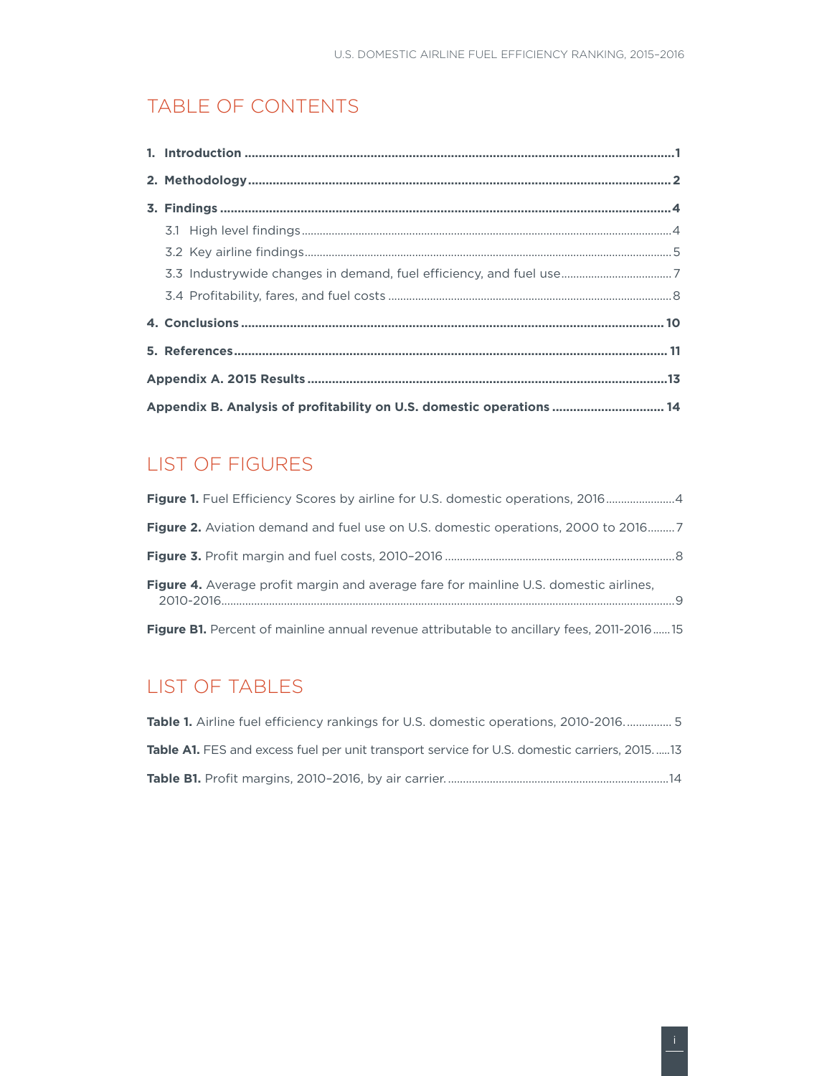## TABLE OF CONTENTS

| 3.3 Industrywide changes in demand, fuel efficiency, and fuel use7    |  |  |  |  |
|-----------------------------------------------------------------------|--|--|--|--|
|                                                                       |  |  |  |  |
|                                                                       |  |  |  |  |
|                                                                       |  |  |  |  |
|                                                                       |  |  |  |  |
| Appendix B. Analysis of profitability on U.S. domestic operations  14 |  |  |  |  |

# LIST OF FIGURES

| <b>Figure 1.</b> Fuel Efficiency Scores by airline for U.S. domestic operations, 20164           |  |
|--------------------------------------------------------------------------------------------------|--|
|                                                                                                  |  |
|                                                                                                  |  |
| <b>Figure 4.</b> Average profit margin and average fare for mainline U.S. domestic airlines,     |  |
| <b>Figure B1.</b> Percent of mainline annual revenue attributable to ancillary fees, 2011-201615 |  |

# LIST OF TABLES

| <b>Table 1.</b> Airline fuel efficiency rankings for U.S. domestic operations, 2010-2016 5         |
|----------------------------------------------------------------------------------------------------|
| <b>Table A1.</b> FES and excess fuel per unit transport service for U.S. domestic carriers. 201513 |
|                                                                                                    |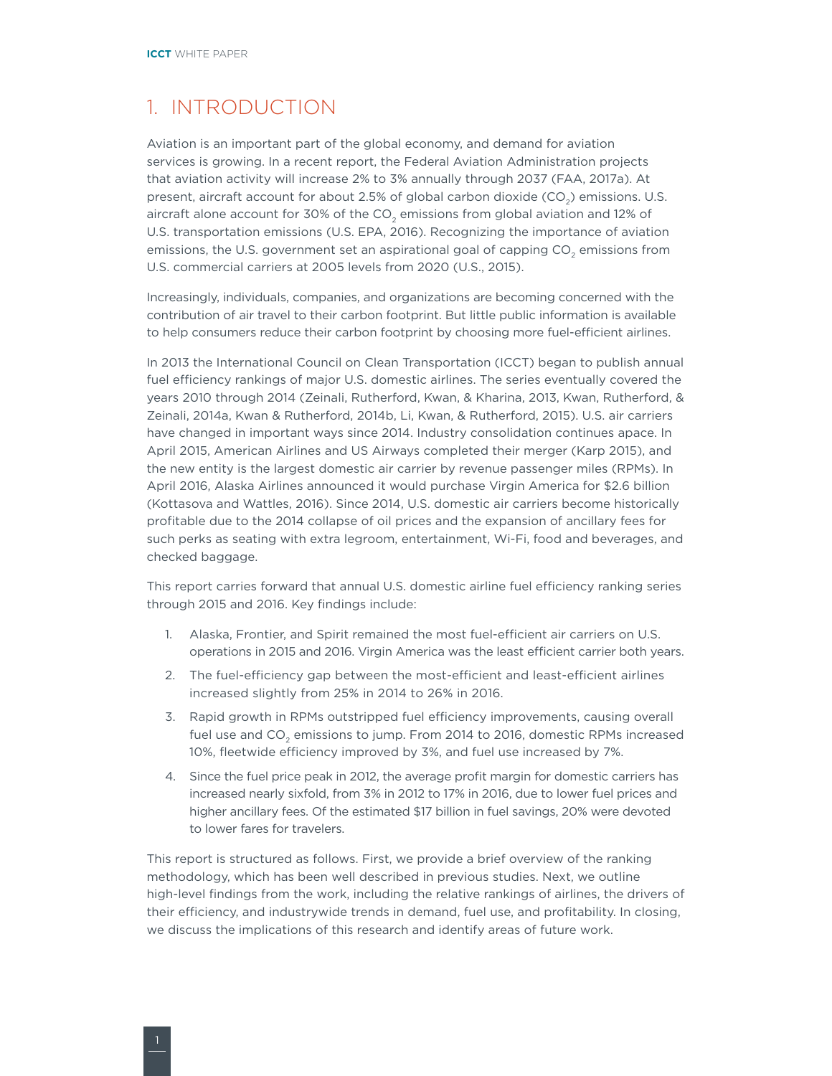### <span id="page-3-0"></span>1. INTRODUCTION

Aviation is an important part of the global economy, and demand for aviation services is growing. In a recent report, the Federal Aviation Administration projects that aviation activity will increase 2% to 3% annually through 2037 (FAA, 2017a). At present, aircraft account for about 2.5% of global carbon dioxide (CO<sub>2</sub>) emissions. U.S. aircraft alone account for 30% of the  $CO<sub>2</sub>$  emissions from global aviation and 12% of U.S. transportation emissions (U.S. EPA, 2016). Recognizing the importance of aviation emissions, the U.S. government set an aspirational goal of capping CO<sub>2</sub> emissions from U.S. commercial carriers at 2005 levels from 2020 (U.S., 2015).

Increasingly, individuals, companies, and organizations are becoming concerned with the contribution of air travel to their carbon footprint. But little public information is available to help consumers reduce their carbon footprint by choosing more fuel-efficient airlines.

In 2013 the International Council on Clean Transportation (ICCT) began to publish annual fuel efficiency rankings of major U.S. domestic airlines. The series eventually covered the years 2010 through 2014 (Zeinali, Rutherford, Kwan, & Kharina, 2013, Kwan, Rutherford, & Zeinali, 2014a, Kwan & Rutherford, 2014b, Li, Kwan, & Rutherford, 2015). U.S. air carriers have changed in important ways since 2014. Industry consolidation continues apace. In April 2015, American Airlines and US Airways completed their merger (Karp 2015), and the new entity is the largest domestic air carrier by revenue passenger miles (RPMs). In April 2016, Alaska Airlines announced it would purchase Virgin America for \$2.6 billion (Kottasova and Wattles, 2016). Since 2014, U.S. domestic air carriers become historically profitable due to the 2014 collapse of oil prices and the expansion of ancillary fees for such perks as seating with extra legroom, entertainment, Wi-Fi, food and beverages, and checked baggage.

This report carries forward that annual U.S. domestic airline fuel efficiency ranking series through 2015 and 2016. Key findings include:

- 1. Alaska, Frontier, and Spirit remained the most fuel-efficient air carriers on U.S. operations in 2015 and 2016. Virgin America was the least efficient carrier both years.
- 2. The fuel-efficiency gap between the most-efficient and least-efficient airlines increased slightly from 25% in 2014 to 26% in 2016.
- 3. Rapid growth in RPMs outstripped fuel efficiency improvements, causing overall fuel use and CO<sub>2</sub> emissions to jump. From 2014 to 2016, domestic RPMs increased 10%, fleetwide efficiency improved by 3%, and fuel use increased by 7%.
- 4. Since the fuel price peak in 2012, the average profit margin for domestic carriers has increased nearly sixfold, from 3% in 2012 to 17% in 2016, due to lower fuel prices and higher ancillary fees. Of the estimated \$17 billion in fuel savings, 20% were devoted to lower fares for travelers.

This report is structured as follows. First, we provide a brief overview of the ranking methodology, which has been well described in previous studies. Next, we outline high-level findings from the work, including the relative rankings of airlines, the drivers of their efficiency, and industrywide trends in demand, fuel use, and profitability. In closing, we discuss the implications of this research and identify areas of future work.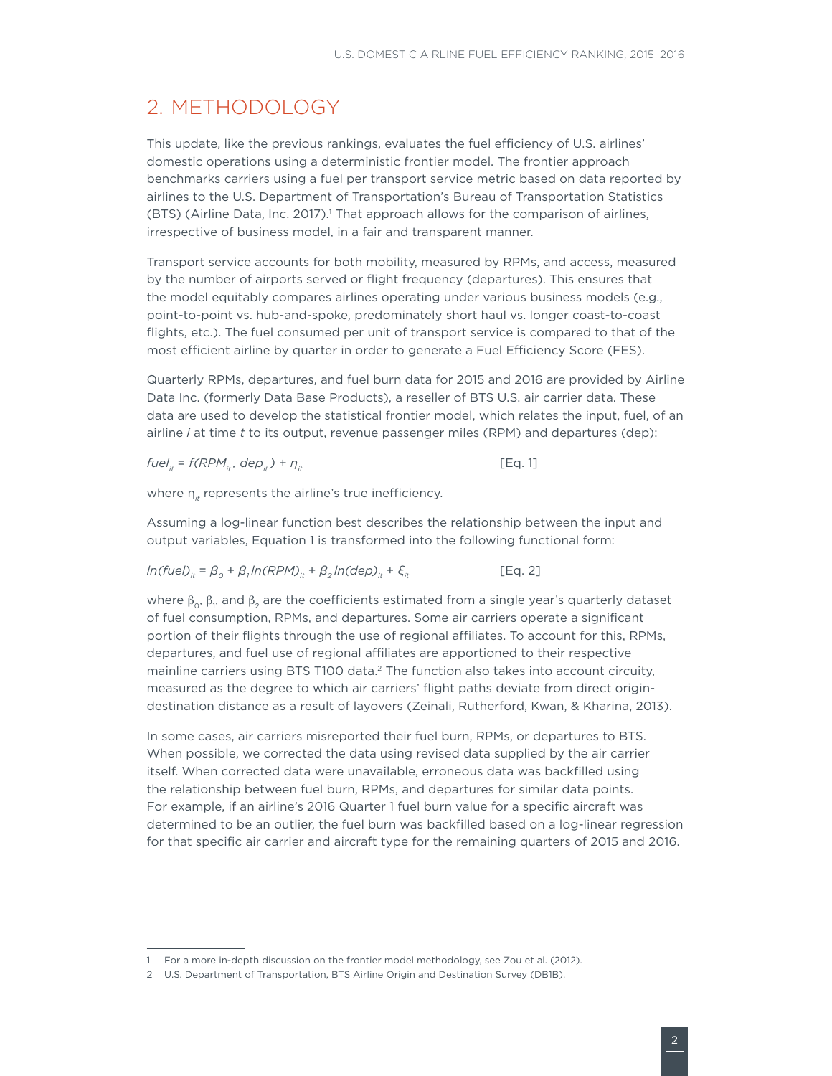### <span id="page-4-0"></span>2. METHODOLOGY

This update, like the previous rankings, evaluates the fuel efficiency of U.S. airlines' domestic operations using a deterministic frontier model. The frontier approach benchmarks carriers using a fuel per transport service metric based on data reported by airlines to the U.S. Department of Transportation's Bureau of Transportation Statistics (BTS) (Airline Data, Inc. 2017).<sup>1</sup> That approach allows for the comparison of airlines, irrespective of business model, in a fair and transparent manner.

Transport service accounts for both mobility, measured by RPMs, and access, measured by the number of airports served or flight frequency (departures). This ensures that the model equitably compares airlines operating under various business models (e.g., point-to-point vs. hub-and-spoke, predominately short haul vs. longer coast-to-coast flights, etc.). The fuel consumed per unit of transport service is compared to that of the most efficient airline by quarter in order to generate a Fuel Efficiency Score (FES).

Quarterly RPMs, departures, and fuel burn data for 2015 and 2016 are provided by Airline Data Inc. (formerly Data Base Products), a reseller of BTS U.S. air carrier data. These data are used to develop the statistical frontier model, which relates the input, fuel, of an airline *i* at time *t* to its output, revenue passenger miles (RPM) and departures (dep):

$$
fuelit = f(RPMit, depit) + \etait
$$
 [Eq. 1]

where  $\eta_{it}$  represents the airline's true inefficiency.

Assuming a log-linear function best describes the relationship between the input and output variables, Equation 1 is transformed into the following functional form:

$$
ln(tuel)_{it} = \beta_0 + \beta_1 ln(RPM)_{it} + \beta_2 ln(deD)_{it} + \xi_{it}
$$
 [Eq. 2]

where  $\beta_{\rm o},\beta_{\rm p}$  and  $\beta_{\rm 2}$  are the coefficients estimated from a single year's quarterly dataset of fuel consumption, RPMs, and departures. Some air carriers operate a significant portion of their flights through the use of regional affiliates. To account for this, RPMs, departures, and fuel use of regional affiliates are apportioned to their respective mainline carriers using BTS T100 data.<sup>2</sup> The function also takes into account circuity, measured as the degree to which air carriers' flight paths deviate from direct origindestination distance as a result of layovers (Zeinali, Rutherford, Kwan, & Kharina, 2013).

In some cases, air carriers misreported their fuel burn, RPMs, or departures to BTS. When possible, we corrected the data using revised data supplied by the air carrier itself. When corrected data were unavailable, erroneous data was backfilled using the relationship between fuel burn, RPMs, and departures for similar data points. For example, if an airline's 2016 Quarter 1 fuel burn value for a specific aircraft was determined to be an outlier, the fuel burn was backfilled based on a log-linear regression for that specific air carrier and aircraft type for the remaining quarters of 2015 and 2016.

<sup>1</sup> For a more in-depth discussion on the frontier model methodology, see Zou et al. (2012).

<sup>2</sup> U.S. Department of Transportation, BTS Airline Origin and Destination Survey (DB1B).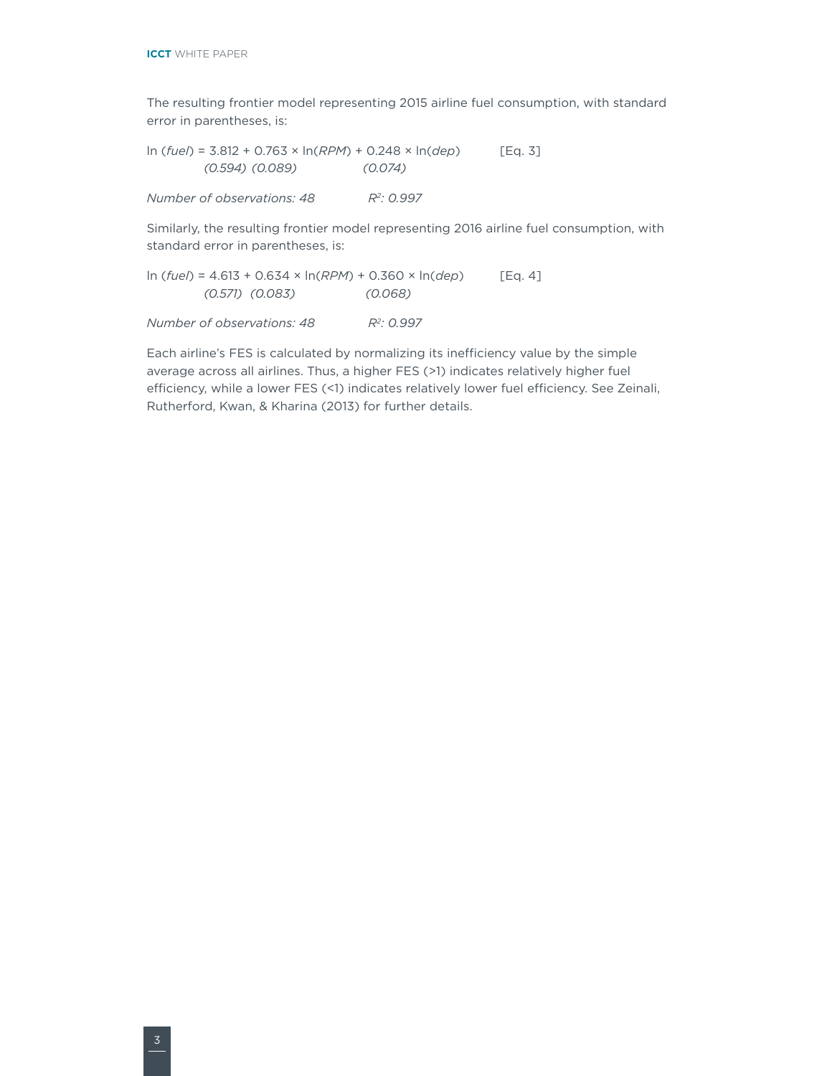The resulting frontier model representing 2015 airline fuel consumption, with standard error in parentheses, is:

ln (*fuel*) = 3.812 + 0.763 × ln(*RPM*) + 0.248 × ln(*dep*) [Eq. 3] *(0.594) (0.089) (0.074) Number of observations: 48 R2: 0.997*

Similarly, the resulting frontier model representing 2016 airline fuel consumption, with standard error in parentheses, is:

ln (*fuel*) = 4.613 + 0.634 × ln(*RPM*) + 0.360 × ln(*dep*) [Eq. 4] *(0.571) (0.083) (0.068)*

*Number of observations: 48 R2: 0.997*

Each airline's FES is calculated by normalizing its inefficiency value by the simple average across all airlines. Thus, a higher FES (>1) indicates relatively higher fuel efficiency, while a lower FES (<1) indicates relatively lower fuel efficiency. See Zeinali, Rutherford, Kwan, & Kharina (2013) for further details.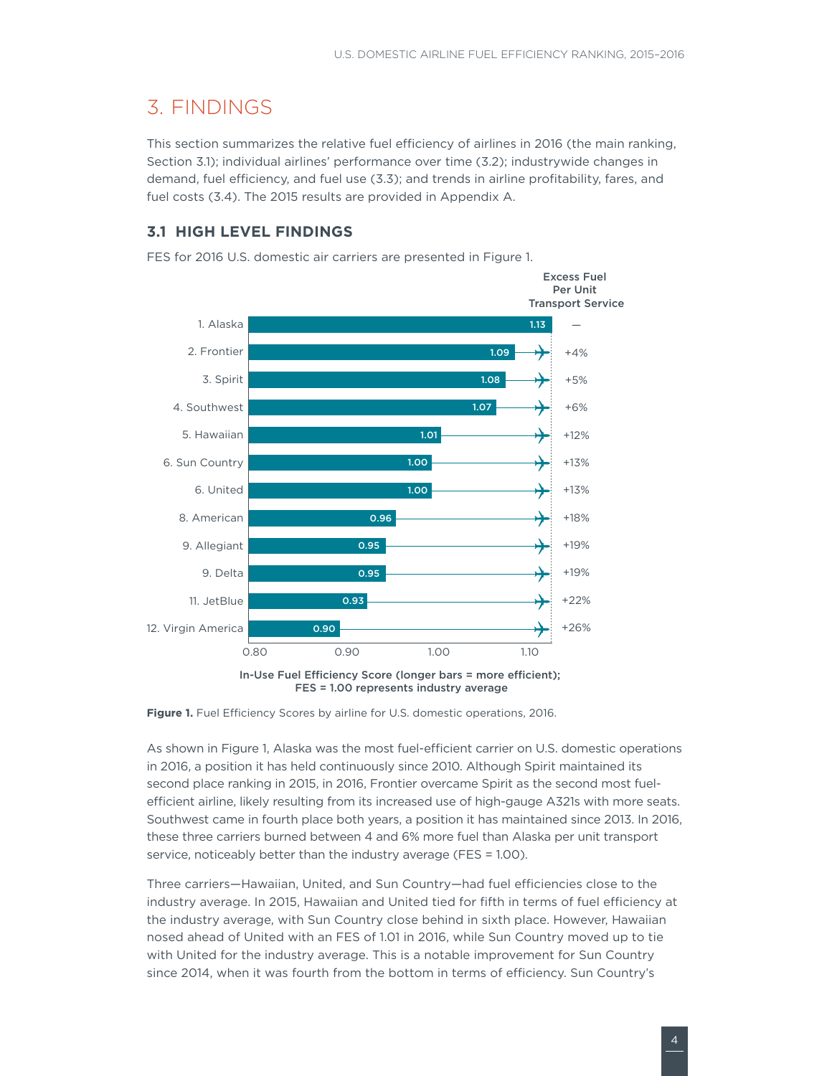# <span id="page-6-0"></span>3. FINDINGS

This section summarizes the relative fuel efficiency of airlines in 2016 (the main ranking, Section 3.1); individual airlines' performance over time (3.2); industrywide changes in demand, fuel efficiency, and fuel use (3.3); and trends in airline profitability, fares, and fuel costs (3.4). The 2015 results are provided in Appendix A.

#### **3.1 HIGH LEVEL FINDINGS**

In-Use Fuel Efficiency Score (longer bars = more efficient); FES = 1.00 represents industry average —  $+4%$ +5% +6% +12% +13% +13% +18% +19% +19% +22% +26% Excess Fuel Per Unit Transport Service 0.80 0.90 1.00 1.10 12. Virgin America **0.90** 11. JetBlue **0.93** 9. Delta 0.95 9. Allegiant **0.95** 8. American **0.96** 6. United 1.00 6. Sun Country **1.00** 5. Hawaiian **1.01 1.01** 4. Southwest 1.07 **3. Spirit 1.08** 2. Frontier **1.09** 1. Alaska 1.13 and 1.13 and 1.13 and 1.13 and 1.13 and 1.13 and 1.13 and 1.13 and 1.13 and 1.13

FES for 2016 U.S. domestic air carriers are presented in [Figure 1](#page-6-1).

As shown in Figure 1, Alaska was the most fuel-efficient carrier on U.S. domestic operations in 2016, a position it has held continuously since 2010. Although Spirit maintained its second place ranking in 2015, in 2016, Frontier overcame Spirit as the second most fuelefficient airline, likely resulting from its increased use of high-gauge A321s with more seats. Southwest came in fourth place both years, a position it has maintained since 2013. In 2016, these three carriers burned between 4 and 6% more fuel than Alaska per unit transport service, noticeably better than the industry average (FES = 1.00).

Three carriers—Hawaiian, United, and Sun Country—had fuel efficiencies close to the industry average. In 2015, Hawaiian and United tied for fifth in terms of fuel efficiency at the industry average, with Sun Country close behind in sixth place. However, Hawaiian nosed ahead of United with an FES of 1.01 in 2016, while Sun Country moved up to tie with United for the industry average. This is a notable improvement for Sun Country since 2014, when it was fourth from the bottom in terms of efficiency. Sun Country's

<span id="page-6-1"></span>Figure 1. Fuel Efficiency Scores by airline for U.S. domestic operations, 2016.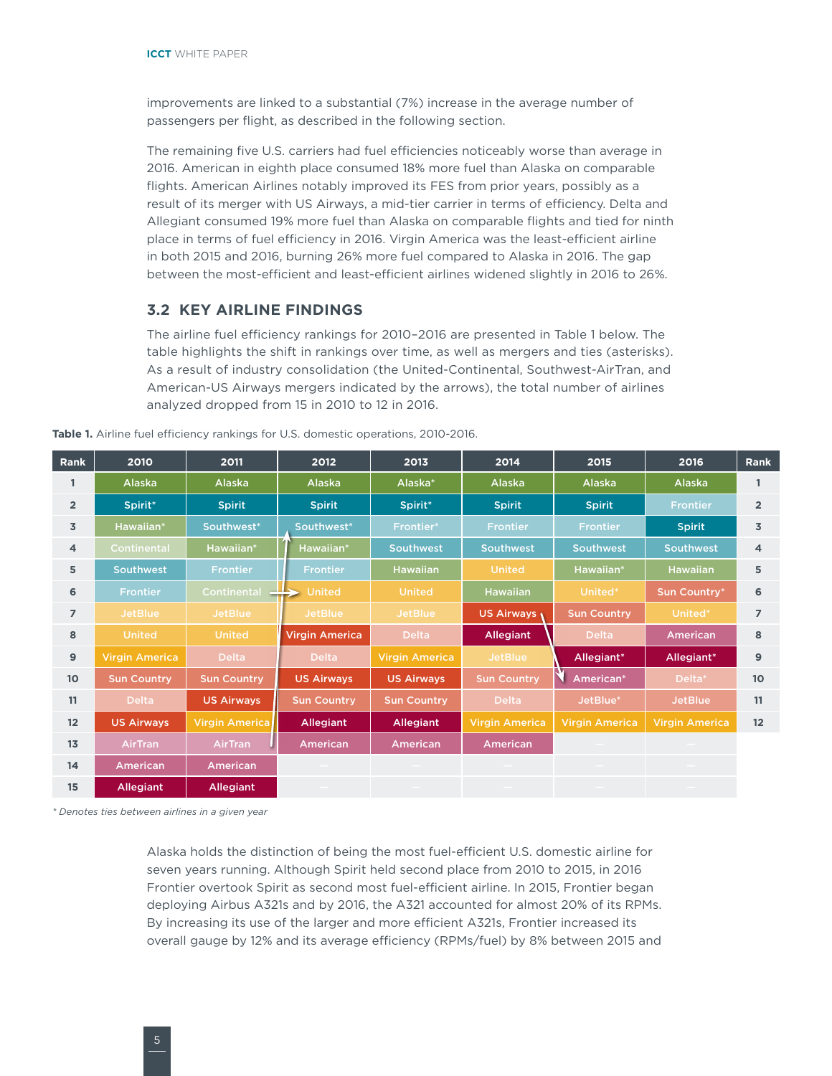<span id="page-7-0"></span>improvements are linked to a substantial (7%) increase in the average number of passengers per flight, as described in the following section.

The remaining five U.S. carriers had fuel efficiencies noticeably worse than average in 2016. American in eighth place consumed 18% more fuel than Alaska on comparable flights. American Airlines notably improved its FES from prior years, possibly as a result of its merger with US Airways, a mid-tier carrier in terms of efficiency. Delta and Allegiant consumed 19% more fuel than Alaska on comparable flights and tied for ninth place in terms of fuel efficiency in 2016. Virgin America was the least-efficient airline in both 2015 and 2016, burning 26% more fuel compared to Alaska in 2016. The gap between the most-efficient and least-efficient airlines widened slightly in 2016 to 26%.

#### **3.2 KEY AIRLINE FINDINGS**

The airline fuel efficiency rankings for 2010–2016 are presented in Table 1 below. The table highlights the shift in rankings over time, as well as mergers and ties (asterisks). As a result of industry consolidation (the United-Continental, Southwest-AirTran, and American-US Airways mergers indicated by the arrows), the total number of airlines analyzed dropped from 15 in 2010 to 12 in 2016.

| <b>Rank</b>     | 2010                  | 2011                  | 2012                  | 2013                  | 2014                  | 2015                  | 2016                  | Rank           |
|-----------------|-----------------------|-----------------------|-----------------------|-----------------------|-----------------------|-----------------------|-----------------------|----------------|
|                 | Alaska                | Alaska                | <b>Alaska</b>         | Alaska*               | Alaska                | Alaska                | Alaska                | 1              |
| $\overline{2}$  | Spirit*               | <b>Spirit</b>         | <b>Spirit</b>         | Spirit*               | <b>Spirit</b>         | <b>Spirit</b>         | <b>Frontier</b>       | $\overline{2}$ |
| $\overline{3}$  | Hawaiian*             | Southwest*            | Southwest*            | Frontier*             | <b>Frontier</b>       | <b>Frontier</b>       | <b>Spirit</b>         | 3              |
| 4               | <b>Continental</b>    | Hawaiian*             | Hawaiian*             | <b>Southwest</b>      | <b>Southwest</b>      | <b>Southwest</b>      | <b>Southwest</b>      | 4              |
| 5               | <b>Southwest</b>      | <b>Frontier</b>       | <b>Frontier</b>       | <b>Hawaiian</b>       | <b>United</b>         | Hawaiian*             | <b>Hawaiian</b>       | 5              |
| 6               | <b>Frontier</b>       | <b>Continental</b>    | <b>United</b>         | <b>United</b>         | <b>Hawaiian</b>       | United*               | Sun Country*          | 6              |
| $\overline{7}$  | <b>JetBlue</b>        | <b>JetBlue</b>        | <b>JetBlue</b>        | <b>JetBlue</b>        | US Airways            | <b>Sun Country</b>    | United*               | $\overline{7}$ |
| 8               | <b>United</b>         | <b>United</b>         | <b>Virgin America</b> | <b>Delta</b>          | <b>Allegiant</b>      | <b>Delta</b>          | <b>American</b>       | 8              |
| 9               | <b>Virgin America</b> | <b>Delta</b>          | <b>Delta</b>          | <b>Virgin America</b> | <b>JetBlue</b>        | Allegiant*            | Allegiant*            | 9              |
| 10 <sup>°</sup> | <b>Sun Country</b>    | <b>Sun Country</b>    | <b>US Airways</b>     | <b>US Airways</b>     | <b>Sun Country</b>    | American*             | Delta*                | 10             |
| 11              | <b>Delta</b>          | <b>US Airways</b>     | <b>Sun Country</b>    | <b>Sun Country</b>    | Delta                 | JetBlue*              | <b>JetBlue</b>        | 11             |
| 12              | <b>US Airways</b>     | <b>Virgin America</b> | <b>Allegiant</b>      | <b>Allegiant</b>      | <b>Virgin America</b> | <b>Virgin America</b> | <b>Virgin America</b> | 12             |
| 13              | <b>AirTran</b>        | <b>AirTran</b>        | <b>American</b>       | <b>American</b>       | <b>American</b>       |                       |                       |                |
| 14              | American              | American              |                       |                       |                       |                       |                       |                |
| 15              | <b>Allegiant</b>      | <b>Allegiant</b>      |                       |                       |                       |                       |                       |                |

**Table 1.** Airline fuel efficiency rankings for U.S. domestic operations, 2010-2016.

*\* Denotes ties between airlines in a given year*

Alaska holds the distinction of being the most fuel-efficient U.S. domestic airline for seven years running. Although Spirit held second place from 2010 to 2015, in 2016 Frontier overtook Spirit as second most fuel-efficient airline. In 2015, Frontier began deploying Airbus A321s and by 2016, the A321 accounted for almost 20% of its RPMs. By increasing its use of the larger and more efficient A321s, Frontier increased its overall gauge by 12% and its average efficiency (RPMs/fuel) by 8% between 2015 and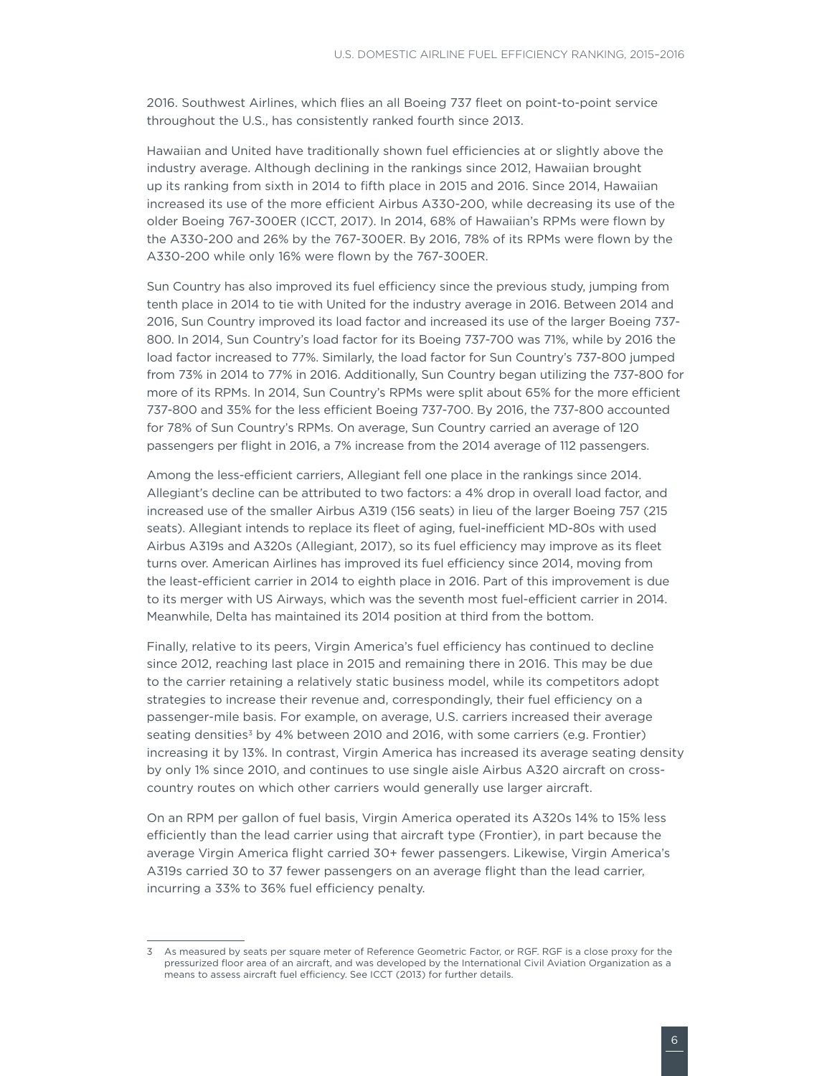2016. Southwest Airlines, which flies an all Boeing 737 fleet on point-to-point service throughout the U.S., has consistently ranked fourth since 2013.

Hawaiian and United have traditionally shown fuel efficiencies at or slightly above the industry average. Although declining in the rankings since 2012, Hawaiian brought up its ranking from sixth in 2014 to fifth place in 2015 and 2016. Since 2014, Hawaiian increased its use of the more efficient Airbus A330-200, while decreasing its use of the older Boeing 767-300ER (ICCT, 2017). In 2014, 68% of Hawaiian's RPMs were flown by the A330-200 and 26% by the 767-300ER. By 2016, 78% of its RPMs were flown by the A330-200 while only 16% were flown by the 767-300ER.

Sun Country has also improved its fuel efficiency since the previous study, jumping from tenth place in 2014 to tie with United for the industry average in 2016. Between 2014 and 2016, Sun Country improved its load factor and increased its use of the larger Boeing 737- 800. In 2014, Sun Country's load factor for its Boeing 737-700 was 71%, while by 2016 the load factor increased to 77%. Similarly, the load factor for Sun Country's 737-800 jumped from 73% in 2014 to 77% in 2016. Additionally, Sun Country began utilizing the 737-800 for more of its RPMs. In 2014, Sun Country's RPMs were split about 65% for the more efficient 737-800 and 35% for the less efficient Boeing 737-700. By 2016, the 737-800 accounted for 78% of Sun Country's RPMs. On average, Sun Country carried an average of 120 passengers per flight in 2016, a 7% increase from the 2014 average of 112 passengers.

Among the less-efficient carriers, Allegiant fell one place in the rankings since 2014. Allegiant's decline can be attributed to two factors: a 4% drop in overall load factor, and increased use of the smaller Airbus A319 (156 seats) in lieu of the larger Boeing 757 (215 seats). Allegiant intends to replace its fleet of aging, fuel-inefficient MD-80s with used Airbus A319s and A320s (Allegiant, 2017), so its fuel efficiency may improve as its fleet turns over. American Airlines has improved its fuel efficiency since 2014, moving from the least-efficient carrier in 2014 to eighth place in 2016. Part of this improvement is due to its merger with US Airways, which was the seventh most fuel-efficient carrier in 2014. Meanwhile, Delta has maintained its 2014 position at third from the bottom.

Finally, relative to its peers, Virgin America's fuel efficiency has continued to decline since 2012, reaching last place in 2015 and remaining there in 2016. This may be due to the carrier retaining a relatively static business model, while its competitors adopt strategies to increase their revenue and, correspondingly, their fuel efficiency on a passenger-mile basis. For example, on average, U.S. carriers increased their average seating densities<sup>3</sup> by 4% between 2010 and 2016, with some carriers (e.g. Frontier) increasing it by 13%. In contrast, Virgin America has increased its average seating density by only 1% since 2010, and continues to use single aisle Airbus A320 aircraft on crosscountry routes on which other carriers would generally use larger aircraft.

On an RPM per gallon of fuel basis, Virgin America operated its A320s 14% to 15% less efficiently than the lead carrier using that aircraft type (Frontier), in part because the average Virgin America flight carried 30+ fewer passengers. Likewise, Virgin America's A319s carried 30 to 37 fewer passengers on an average flight than the lead carrier, incurring a 33% to 36% fuel efficiency penalty.

<sup>3</sup> As measured by seats per square meter of Reference Geometric Factor, or RGF. RGF is a close proxy for the pressurized floor area of an aircraft, and was developed by the International Civil Aviation Organization as a means to assess aircraft fuel efficiency. See ICCT (2013) for further details.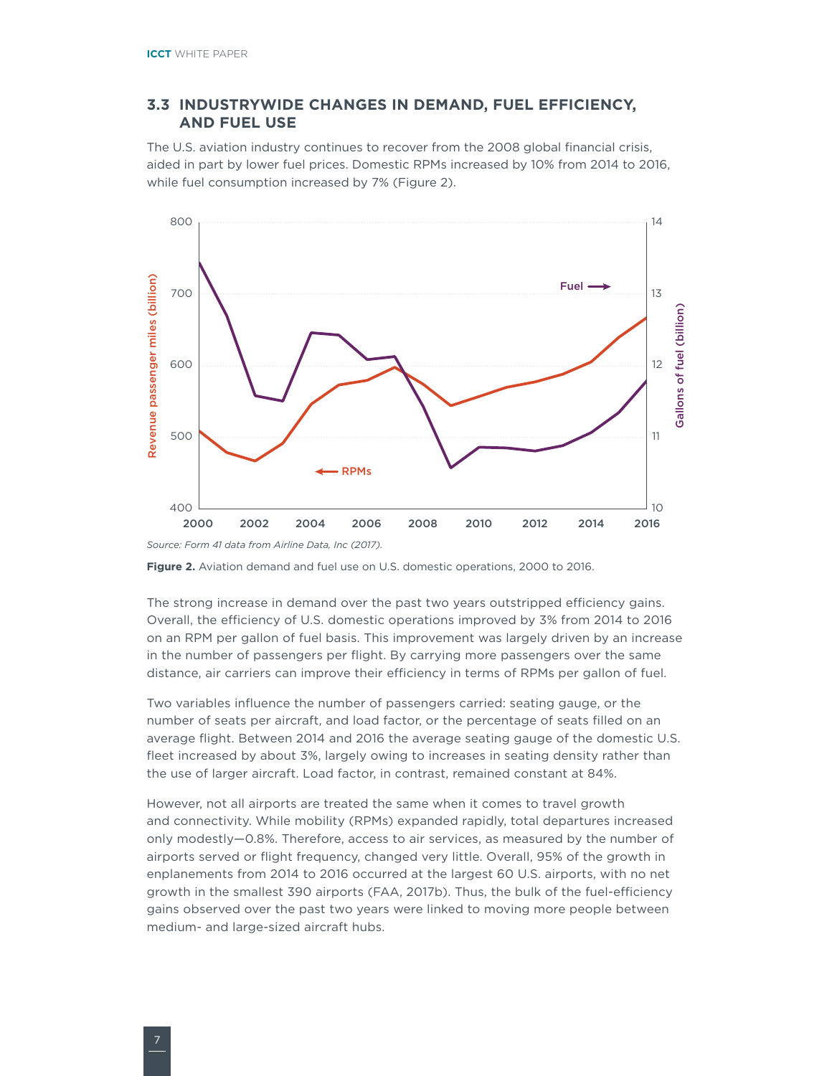#### <span id="page-9-0"></span>**3.3 INDUSTRYWIDE CHANGES IN DEMAND, FUEL EFFICIENCY, AND FUEL USE**

The U.S. aviation industry continues to recover from the 2008 global financial crisis, aided in part by lower fuel prices. Domestic RPMs increased by 10% from 2014 to 2016, while fuel consumption increased by 7% (Figure 2).



*Source: Form 41 data from Airline Data, Inc (2017).* 



The strong increase in demand over the past two years outstripped efficiency gains. Overall, the efficiency of U.S. domestic operations improved by 3% from 2014 to 2016 on an RPM per gallon of fuel basis. This improvement was largely driven by an increase in the number of passengers per flight. By carrying more passengers over the same distance, air carriers can improve their efficiency in terms of RPMs per gallon of fuel.

Two variables influence the number of passengers carried: seating gauge, or the number of seats per aircraft, and load factor, or the percentage of seats filled on an average flight. Between 2014 and 2016 the average seating gauge of the domestic U.S. fleet increased by about 3%, largely owing to increases in seating density rather than the use of larger aircraft. Load factor, in contrast, remained constant at 84%.

However, not all airports are treated the same when it comes to travel growth and connectivity. While mobility (RPMs) expanded rapidly, total departures increased only modestly—0.8%. Therefore, access to air services, as measured by the number of airports served or flight frequency, changed very little. Overall, 95% of the growth in enplanements from 2014 to 2016 occurred at the largest 60 U.S. airports, with no net growth in the smallest 390 airports (FAA, 2017b). Thus, the bulk of the fuel-efficiency gains observed over the past two years were linked to moving more people between medium- and large-sized aircraft hubs.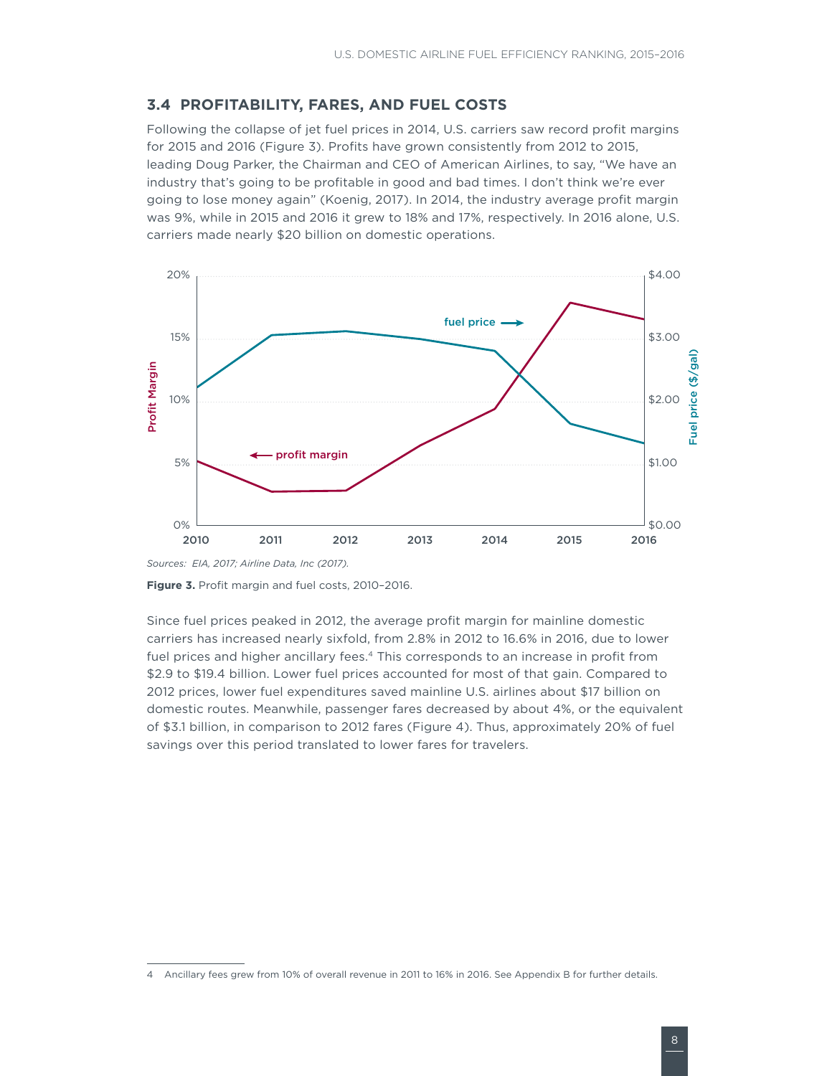#### <span id="page-10-0"></span>**3.4 PROFITABILITY, FARES, AND FUEL COSTS**

Following the collapse of jet fuel prices in 2014, U.S. carriers saw record profit margins for 2015 and 2016 [\(Figure](#page-10-1) 3). Profits have grown consistently from 2012 to 2015, leading Doug Parker, the Chairman and CEO of American Airlines, to say, "We have an industry that's going to be profitable in good and bad times. I don't think we're ever going to lose money again" (Koenig, 2017). In 2014, the industry average profit margin was 9%, while in 2015 and 2016 it grew to 18% and 17%, respectively. In 2016 alone, U.S. carriers made nearly \$20 billion on domestic operations.



<span id="page-10-1"></span>**Figure 3.** Profit margin and fuel costs, 2010–2016.

Since fuel prices peaked in 2012, the average profit margin for mainline domestic carriers has increased nearly sixfold, from 2.8% in 2012 to 16.6% in 2016, due to lower fuel prices and higher ancillary fees.<sup>4</sup> This corresponds to an increase in profit from \$2.9 to \$19.4 billion. Lower fuel prices accounted for most of that gain. Compared to 2012 prices, lower fuel expenditures saved mainline U.S. airlines about \$17 billion on domestic routes. Meanwhile, passenger fares decreased by about 4%, or the equivalent of \$3.1 billion, in comparison to 2012 fares ([Figure 4](#page-11-1)). Thus, approximately 20% of fuel savings over this period translated to lower fares for travelers.

<sup>4</sup> Ancillary fees grew from 10% of overall revenue in 2011 to 16% in 2016. See Appendix B for further details.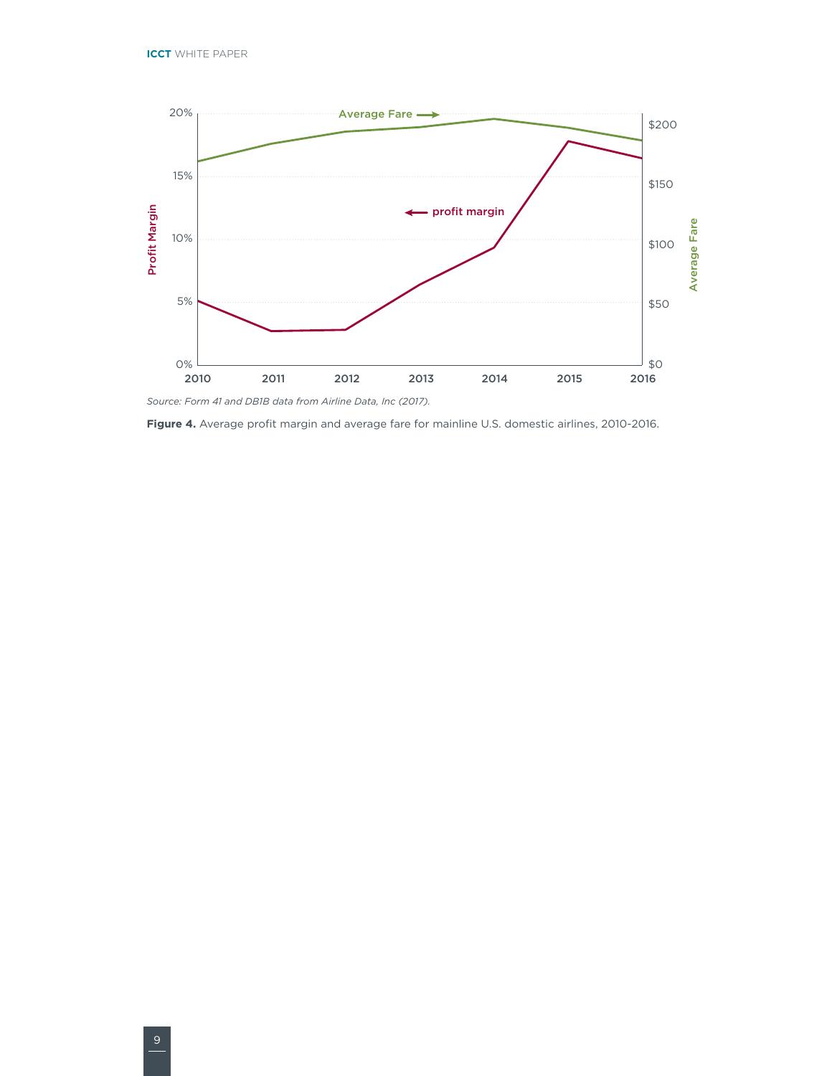<span id="page-11-0"></span>

<span id="page-11-1"></span>**Figure 4.** Average profit margin and average fare for mainline U.S. domestic airlines, 2010-2016.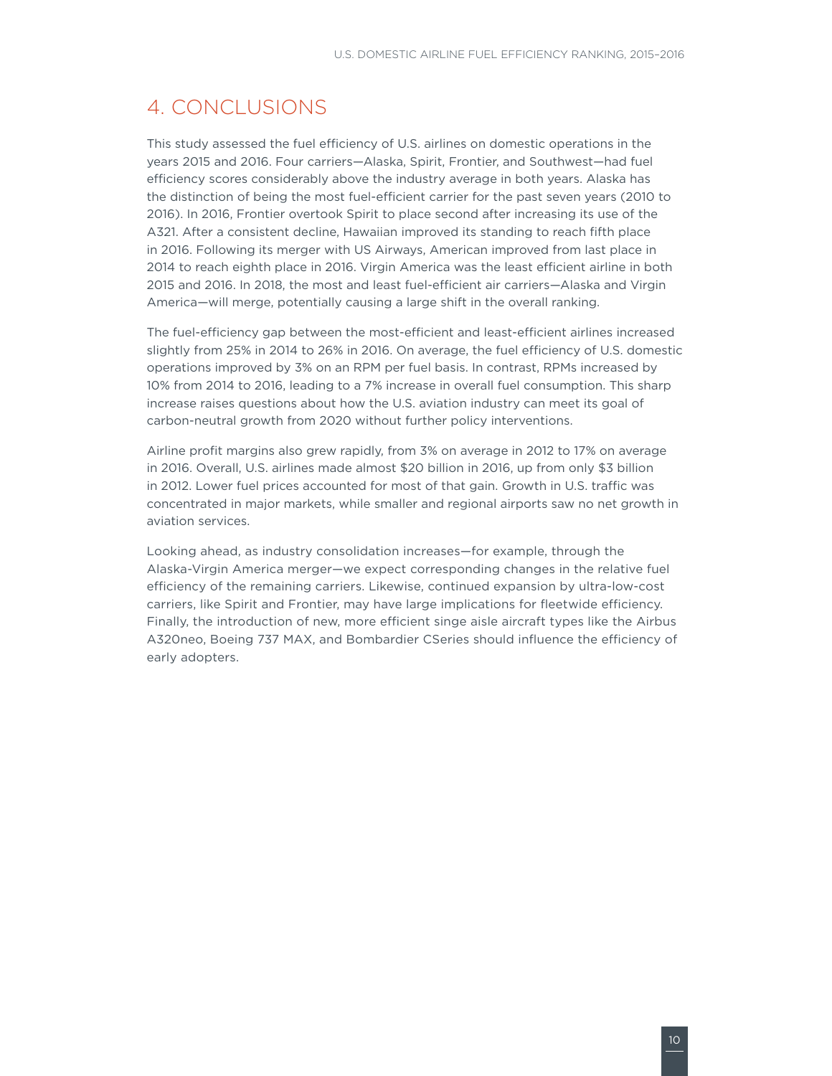# <span id="page-12-0"></span>4. CONCLUSIONS

This study assessed the fuel efficiency of U.S. airlines on domestic operations in the years 2015 and 2016. Four carriers—Alaska, Spirit, Frontier, and Southwest—had fuel efficiency scores considerably above the industry average in both years. Alaska has the distinction of being the most fuel-efficient carrier for the past seven years (2010 to 2016). In 2016, Frontier overtook Spirit to place second after increasing its use of the A321. After a consistent decline, Hawaiian improved its standing to reach fifth place in 2016. Following its merger with US Airways, American improved from last place in 2014 to reach eighth place in 2016. Virgin America was the least efficient airline in both 2015 and 2016. In 2018, the most and least fuel-efficient air carriers—Alaska and Virgin America—will merge, potentially causing a large shift in the overall ranking.

The fuel-efficiency gap between the most-efficient and least-efficient airlines increased slightly from 25% in 2014 to 26% in 2016. On average, the fuel efficiency of U.S. domestic operations improved by 3% on an RPM per fuel basis. In contrast, RPMs increased by 10% from 2014 to 2016, leading to a 7% increase in overall fuel consumption. This sharp increase raises questions about how the U.S. aviation industry can meet its goal of carbon-neutral growth from 2020 without further policy interventions.

Airline profit margins also grew rapidly, from 3% on average in 2012 to 17% on average in 2016. Overall, U.S. airlines made almost \$20 billion in 2016, up from only \$3 billion in 2012. Lower fuel prices accounted for most of that gain. Growth in U.S. traffic was concentrated in major markets, while smaller and regional airports saw no net growth in aviation services.

Looking ahead, as industry consolidation increases—for example, through the Alaska-Virgin America merger—we expect corresponding changes in the relative fuel efficiency of the remaining carriers. Likewise, continued expansion by ultra-low-cost carriers, like Spirit and Frontier, may have large implications for fleetwide efficiency. Finally, the introduction of new, more efficient singe aisle aircraft types like the Airbus A320neo, Boeing 737 MAX, and Bombardier CSeries should influence the efficiency of early adopters.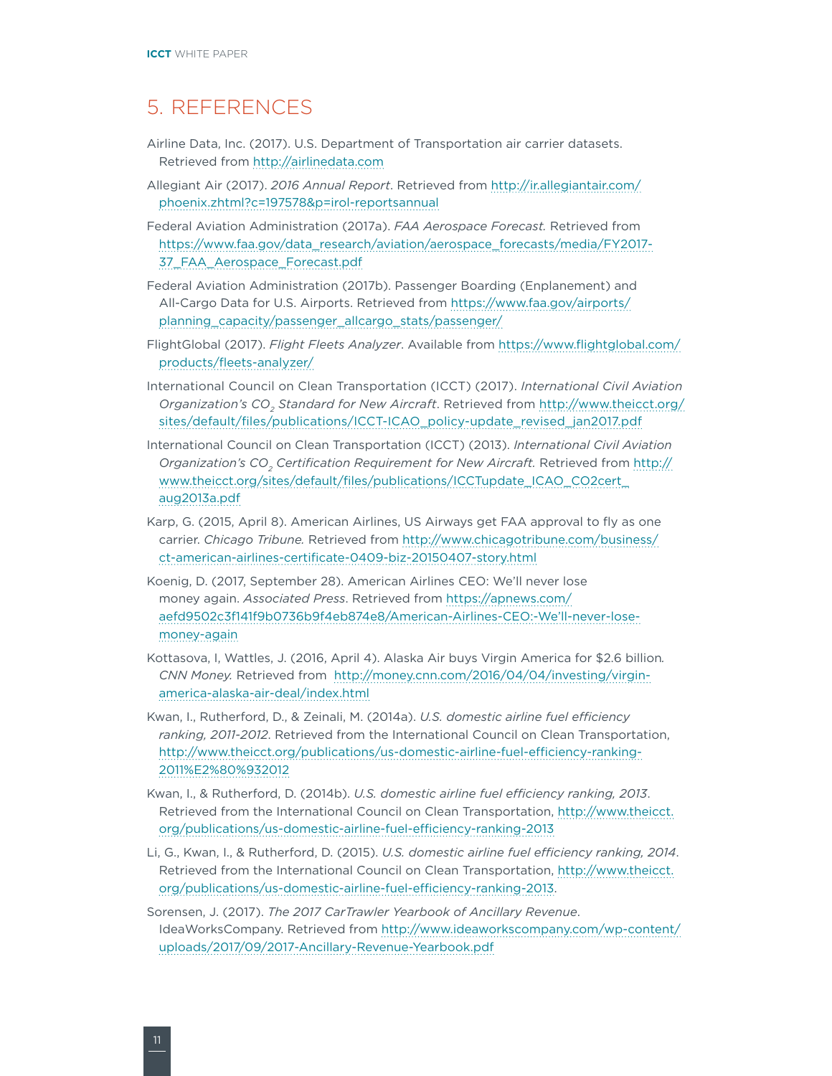### <span id="page-13-0"></span>5. REFERENCES

- Airline Data, Inc. (2017). U.S. Department of Transportation air carrier datasets. Retrieved from<http://airlinedata.com>
- Allegiant Air (2017). *2016 Annual Report*. Retrieved from [http://ir.allegiantair.com/](http://ir.allegiantair.com/phoenix.zhtml?c=197578&p=irol-reportsannual) [phoenix.zhtml?c=197578&p=irol-reportsannual](http://ir.allegiantair.com/phoenix.zhtml?c=197578&p=irol-reportsannual)
- Federal Aviation Administration (2017a). *FAA Aerospace Forecast.* Retrieved from [https://www.faa.gov/data\\_research/aviation/aerospace\\_forecasts/media/FY2017-](https://www.faa.gov/data_research/aviation/aerospace_forecasts/media/FY2017-37_FAA_Aerospace_Forecast.pdf) [37\\_FAA\\_Aerospace\\_Forecast.pdf](https://www.faa.gov/data_research/aviation/aerospace_forecasts/media/FY2017-37_FAA_Aerospace_Forecast.pdf)
- Federal Aviation Administration (2017b). Passenger Boarding (Enplanement) and All-Cargo Data for U.S. Airports. Retrieved from [https://www.faa.gov/airports/](https://www.faa.gov/airports/planning_capacity/passenger_allcargo_stats/passenger/) [planning\\_capacity/passenger\\_allcargo\\_stats/passenger/](https://www.faa.gov/airports/planning_capacity/passenger_allcargo_stats/passenger/)
- FlightGlobal (2017). *Flight Fleets Analyzer*. Available from [https://www.flightglobal.com/](https://www.flightglobal.com/products/fleets-analyzer/) [products/fleets-analyzer/](https://www.flightglobal.com/products/fleets-analyzer/)
- International Council on Clean Transportation (ICCT) (2017). *International Civil Aviation Organization's CO2 Standard for New Aircraft*. Retrieved from [http://www.theicct.org/](http://www.theicct.org/sites/default/files/publications/ICCT-ICAO_policy-update_revised_jan2017.pdf) [sites/default/files/publications/ICCT-ICAO\\_policy-update\\_revised\\_jan2017.pdf](http://www.theicct.org/sites/default/files/publications/ICCT-ICAO_policy-update_revised_jan2017.pdf)
- International Council on Clean Transportation (ICCT) (2013). *International Civil Aviation Organization's CO<sub>2</sub> Certification Requirement for New Aircraft.* Retrieved from [http://](http://www.theicct.org/sites/default/files/publications/ICCTupdate_ICAO_CO2cert_aug2013a.pdf) [www.theicct.org/sites/default/files/publications/ICCTupdate\\_ICAO\\_CO2cert\\_](http://www.theicct.org/sites/default/files/publications/ICCTupdate_ICAO_CO2cert_aug2013a.pdf) [aug2013a.pdf](http://www.theicct.org/sites/default/files/publications/ICCTupdate_ICAO_CO2cert_aug2013a.pdf)
- Karp, G. (2015, April 8). American Airlines, US Airways get FAA approval to fly as one carrier. *Chicago Tribune.* Retrieved from [http://www.chicagotribune.com/business/](http://www.chicagotribune.com/business/ct-american-airlines-certificate-0409-biz-20150407-story.html) [ct-american-airlines-certificate-0409-biz-20150407-story.html](http://www.chicagotribune.com/business/ct-american-airlines-certificate-0409-biz-20150407-story.html)
- Koenig, D. (2017, September 28). American Airlines CEO: We'll never lose money again. *Associated Press*. Retrieved from [https://apnews.com/](https://apnews.com/aefd9502c3f141f9b0736b9f4eb874e8/American-Airlines-CEO:-We) [aefd9502c3f141f9b0736b9f4eb874e8/American-Airlines-CEO:-We'll-never-lose](https://apnews.com/aefd9502c3f141f9b0736b9f4eb874e8/American-Airlines-CEO:-We)[money-again](https://apnews.com/aefd9502c3f141f9b0736b9f4eb874e8/American-Airlines-CEO:-We)
- Kottasova, I, Wattles, J. (2016, April 4). Alaska Air buys Virgin America for \$2.6 billion*. CNN Money.* Retrieved from [http://money.cnn.com/2016/04/04/investing/virgin](http://money.cnn.com/2016/04/04/investing/virgin-america-alaska-air-deal/index.html)[america-alaska-air-deal/index.html](http://money.cnn.com/2016/04/04/investing/virgin-america-alaska-air-deal/index.html)
- Kwan, I., Rutherford, D., & Zeinali, M. (2014a). *U.S. domestic airline fuel efficiency ranking, 2011-2012*. Retrieved from the International Council on Clean Transportation, [http://www.theicct.org/publications/us-domestic-airline-fuel-efficiency-ranking-](http://www.theicct.org/publications/us-domestic-airline-fuel-efficiency-ranking-2011%E2%80%932012)[2011%E2%80%932012](http://www.theicct.org/publications/us-domestic-airline-fuel-efficiency-ranking-2011%E2%80%932012)
- Kwan, I., & Rutherford, D. (2014b). *U.S. domestic airline fuel efficiency ranking, 2013*. Retrieved from the International Council on Clean Transportation, [http://www.theicct.](http://www.theicct.org/publications/us-domestic-airline-fuel-efficiency-ranking-2013) [org/publications/us-domestic-airline-fuel-efficiency-ranking-2013](http://www.theicct.org/publications/us-domestic-airline-fuel-efficiency-ranking-2013)
- Li, G., Kwan, I., & Rutherford, D. (2015). *U.S. domestic airline fuel efficiency ranking, 2014*. Retrieved from the International Council on Clean Transportation, [http://www.theicct.](http://www.theicct.org/publications/us-domestic-airline-fuel-efficiency-ranking-2013) [org/publications/us-domestic-airline-fuel-efficiency-ranking-2013.](http://www.theicct.org/publications/us-domestic-airline-fuel-efficiency-ranking-2013)
- Sorensen, J. (2017). *The 2017 CarTrawler Yearbook of Ancillary Revenue*. IdeaWorksCompany. Retrieved from [http://www.ideaworkscompany.com/wp-content/](http://www.ideaworkscompany.com/wp-content/uploads/2017/09/2017-Ancillary-Revenue-Yearbook.pdf) [uploads/2017/09/2017-Ancillary-Revenue-Yearbook.pdf](http://www.ideaworkscompany.com/wp-content/uploads/2017/09/2017-Ancillary-Revenue-Yearbook.pdf)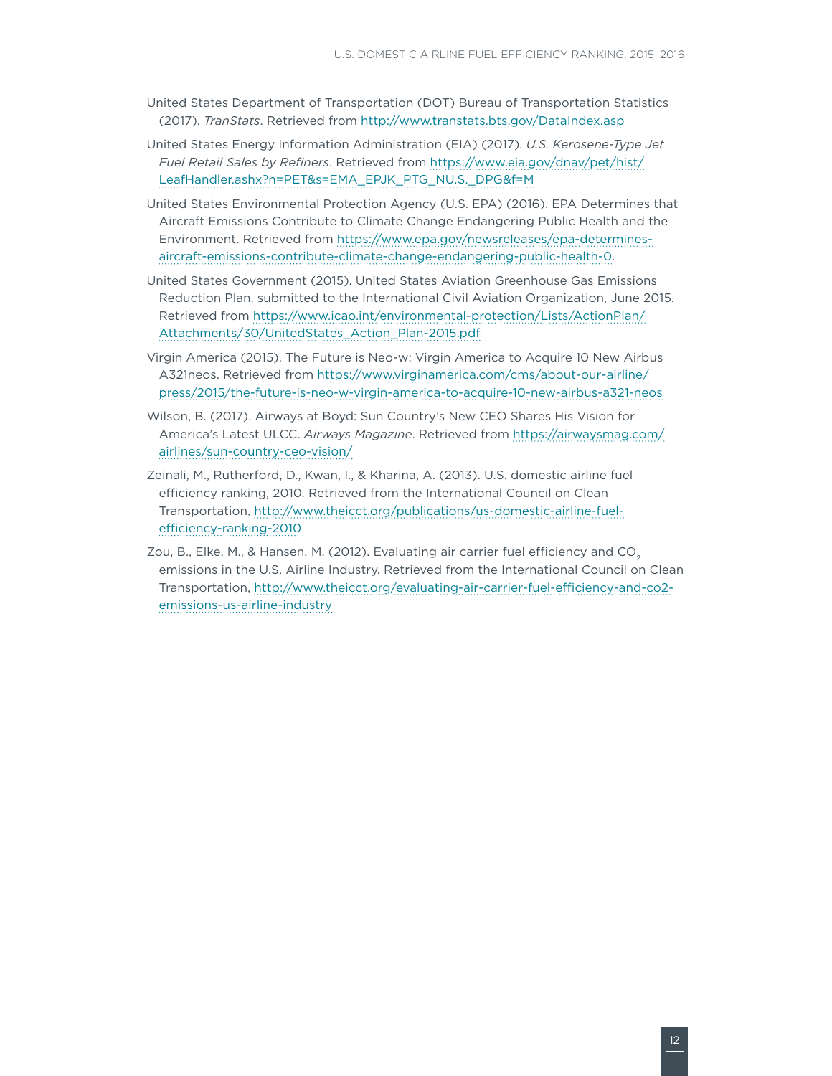- United States Department of Transportation (DOT) Bureau of Transportation Statistics (2017). *TranStats*. Retrieved from <http://www.transtats.bts.gov/DataIndex.asp>
- United States Energy Information Administration (EIA) (2017). *U.S. Kerosene-Type Jet Fuel Retail Sales by Refiners*. Retrieved from [https://www.eia.gov/dnav/pet/hist/](https://www.eia.gov/dnav/pet/hist/LeafHandler.ashx?n=PET&s=EMA_EPJK_PTG_NUS_DPG&f=M) [LeafHandler.ashx?n=PET&s=EMA\\_EPJK\\_PTG\\_NU.S.\\_DPG&f=M](https://www.eia.gov/dnav/pet/hist/LeafHandler.ashx?n=PET&s=EMA_EPJK_PTG_NUS_DPG&f=M)
- United States Environmental Protection Agency (U.S. EPA) (2016). EPA Determines that Aircraft Emissions Contribute to Climate Change Endangering Public Health and the Environment. Retrieved from [https://www.epa.gov/newsreleases/epa-determines](https://www.epa.gov/newsreleases/epa-determines-aircraft-emissions-contribute-climate-change-endangering-public-health-0)[aircraft-emissions-contribute-climate-change-endangering-public-health-0](https://www.epa.gov/newsreleases/epa-determines-aircraft-emissions-contribute-climate-change-endangering-public-health-0).
- United States Government (2015). United States Aviation Greenhouse Gas Emissions Reduction Plan, submitted to the International Civil Aviation Organization, June 2015. Retrieved from [https://www.icao.int/environmental-protection/Lists/ActionPlan/](https://www.icao.int/environmental-protection/Lists/ActionPlan/Attachments/30/UnitedStates_Action_Plan-2015.pdf) [Attachments/30/UnitedStates\\_Action\\_Plan-2015.pdf](https://www.icao.int/environmental-protection/Lists/ActionPlan/Attachments/30/UnitedStates_Action_Plan-2015.pdf)
- Virgin America (2015). The Future is Neo-w: Virgin America to Acquire 10 New Airbus A321neos. Retrieved from [https://www.virginamerica.com/cms/about-our-airline/](https://www.virginamerica.com/cms/about-our-airline/press/2015/the-future-is-neo-w-virgin-america-to-acquire-10-new-airbus-a321-neos) [press/2015/the-future-is-neo-w-virgin-america-to-acquire-10-new-airbus-a321-neos](https://www.virginamerica.com/cms/about-our-airline/press/2015/the-future-is-neo-w-virgin-america-to-acquire-10-new-airbus-a321-neos)
- Wilson, B. (2017). Airways at Boyd: Sun Country's New CEO Shares His Vision for America's Latest ULCC. *Airways Magazine*. Retrieved from [https://airwaysmag.com/](https://airwaysmag.com/airlines/sun-country-ceo-vision/) [airlines/sun-country-ceo-vision/](https://airwaysmag.com/airlines/sun-country-ceo-vision/)
- Zeinali, M., Rutherford, D., Kwan, I., & Kharina, A. (2013). U.S. domestic airline fuel efficiency ranking, 2010. Retrieved from the International Council on Clean Transportation, [http://www.theicct.org/publications/us-domestic-airline-fuel](http://www.theicct.org/publications/us-domestic-airline-fuel-efficiency-ranking-2010)[efficiency-ranking-2010](http://www.theicct.org/publications/us-domestic-airline-fuel-efficiency-ranking-2010)
- Zou, B., Elke, M., & Hansen, M. (2012). Evaluating air carrier fuel efficiency and  $CO<sub>2</sub>$ emissions in the U.S. Airline Industry. Retrieved from the International Council on Clean Transportation, [http://www.theicct.org/evaluating-air-carrier-fuel-efficiency-and-co2](http://www.theicct.org/evaluating-air-carrier-fuel-efficiency-and-co2-emissions-us-airline-industry) [emissions-us-airline-industry](http://www.theicct.org/evaluating-air-carrier-fuel-efficiency-and-co2-emissions-us-airline-industry)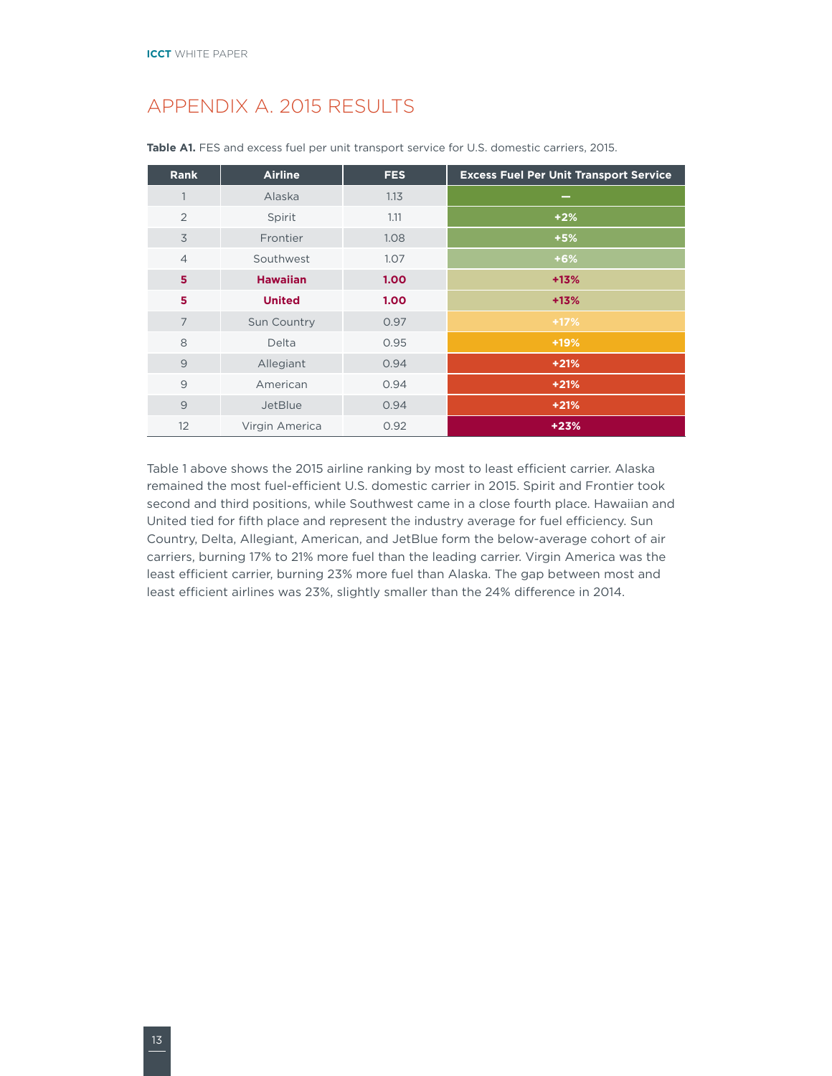### <span id="page-15-0"></span>APPENDIX A. 2015 RESULTS

| <b>Rank</b>    | <b>Airline</b>  | <b>FES</b> | <b>Excess Fuel Per Unit Transport Service</b> |
|----------------|-----------------|------------|-----------------------------------------------|
| 1              | Alaska          | 1.13       | $\overline{\phantom{a}}$                      |
| 2              | Spirit          | 1.11       | $+2%$                                         |
| 3              | Frontier        | 1.08       | $+5%$                                         |
| $\overline{4}$ | Southwest       | 1.07       | $+6%$                                         |
| 5              | <b>Hawaiian</b> | 1.00       | $+13%$                                        |
| 5              | <b>United</b>   | 1.00       | $+13%$                                        |
| $\overline{7}$ | Sun Country     | 0.97       | $+17%$                                        |
| 8              | Delta           | 0.95       | $+19%$                                        |
| $\overline{9}$ | Allegiant       | 0.94       | $+21%$                                        |
| $\overline{9}$ | American        | 0.94       | $+21%$                                        |
| $\overline{9}$ | JetBlue         | 0.94       | $+21%$                                        |
| 12             | Virgin America  | 0.92       | $+23%$                                        |

Table A1. FES and excess fuel per unit transport service for U.S. domestic carriers, 2015.

Table 1 above shows the 2015 airline ranking by most to least efficient carrier. Alaska remained the most fuel-efficient U.S. domestic carrier in 2015. Spirit and Frontier took second and third positions, while Southwest came in a close fourth place. Hawaiian and United tied for fifth place and represent the industry average for fuel efficiency. Sun Country, Delta, Allegiant, American, and JetBlue form the below-average cohort of air carriers, burning 17% to 21% more fuel than the leading carrier. Virgin America was the least efficient carrier, burning 23% more fuel than Alaska. The gap between most and least efficient airlines was 23%, slightly smaller than the 24% difference in 2014.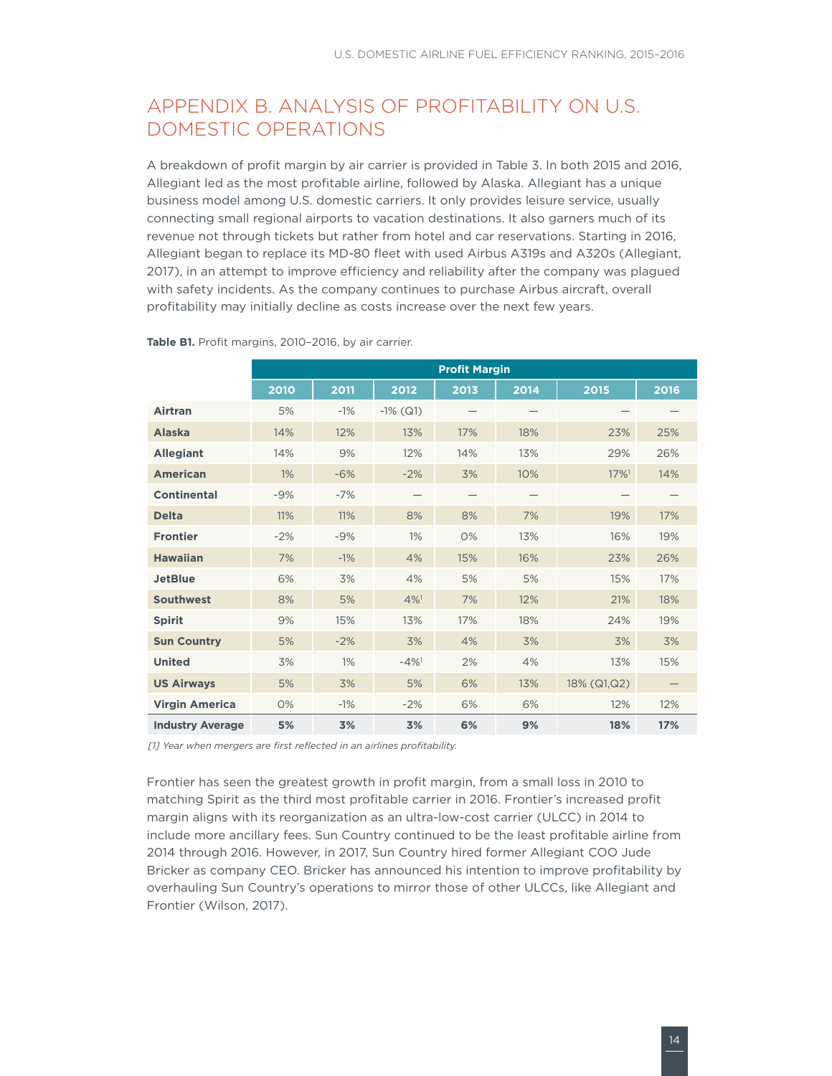### <span id="page-16-0"></span>APPENDIX B. ANALYSIS OF PROFITABILITY ON U.S. DOMESTIC OPERATIONS

A breakdown of profit margin by air carrier is provided in Table 3. In both 2015 and 2016, Allegiant led as the most profitable airline, followed by Alaska. Allegiant has a unique business model among U.S. domestic carriers. It only provides leisure service, usually connecting small regional airports to vacation destinations. It also garners much of its revenue not through tickets but rather from hotel and car reservations. Starting in 2016, Allegiant began to replace its MD-80 fleet with used Airbus A319s and A320s (Allegiant, 2017), in an attempt to improve efficiency and reliability after the company was plagued with safety incidents. As the company continues to purchase Airbus aircraft, overall profitability may initially decline as costs increase over the next few years.

|                         | <b>Profit Margin</b> |       |                    |      |      |                     |      |
|-------------------------|----------------------|-------|--------------------|------|------|---------------------|------|
|                         | 2010                 | 2011  | 2012               | 2013 | 2014 | 2015                | 2016 |
| Airtran                 | 5%                   | $-1%$ | $-1\%$ (Q1)        |      |      |                     |      |
| <b>Alaska</b>           | 14%                  | 12%   | 13%                | 17%  | 18%  | 23%                 | 25%  |
| <b>Allegiant</b>        | 14%                  | 9%    | 12%                | 14%  | 13%  | 29%                 | 26%  |
| <b>American</b>         | 1%                   | $-6%$ | $-2%$              | 3%   | 10%  | $17\%$ <sup>1</sup> | 14%  |
| <b>Continental</b>      | $-9%$                | $-7%$ |                    |      |      |                     |      |
| <b>Delta</b>            | 11%                  | 11%   | 8%                 | 8%   | 7%   | 19%                 | 17%  |
| <b>Frontier</b>         | $-2%$                | $-9%$ | 1%                 | 0%   | 13%  | 16%                 | 19%  |
| <b>Hawaiian</b>         | 7%                   | $-1%$ | 4%                 | 15%  | 16%  | 23%                 | 26%  |
| <b>JetBlue</b>          | 6%                   | 3%    | 4%                 | 5%   | 5%   | 15%                 | 17%  |
| <b>Southwest</b>        | 8%                   | 5%    | 4%1                | 7%   | 12%  | 21%                 | 18%  |
| <b>Spirit</b>           | 9%                   | 15%   | 13%                | 17%  | 18%  | 24%                 | 19%  |
| <b>Sun Country</b>      | 5%                   | $-2%$ | 3%                 | 4%   | 3%   | 3%                  | 3%   |
| <b>United</b>           | 3%                   | $1\%$ | $-4%$ <sup>1</sup> | 2%   | 4%   | 13%                 | 15%  |
| <b>US Airways</b>       | 5%                   | 3%    | 5%                 | 6%   | 13%  | 18% (Q1,Q2)         |      |
| <b>Virgin America</b>   | O%                   | $-1%$ | $-2%$              | 6%   | 6%   | 12%                 | 12%  |
| <b>Industry Average</b> | 5%                   | 3%    | 3%                 | 6%   | 9%   | 18%                 | 17%  |

**Table B1.** Profit margins, 2010–2016, by air carrier.

*[1] Year when mergers are first reflected in an airlines profitability.*

Frontier has seen the greatest growth in profit margin, from a small loss in 2010 to matching Spirit as the third most profitable carrier in 2016. Frontier's increased profit margin aligns with its reorganization as an ultra-low-cost carrier (ULCC) in 2014 to include more ancillary fees. Sun Country continued to be the least profitable airline from 2014 through 2016. However, in 2017, Sun Country hired former Allegiant COO Jude Bricker as company CEO. Bricker has announced his intention to improve profitability by overhauling Sun Country's operations to mirror those of other ULCCs, like Allegiant and Frontier (Wilson, 2017).